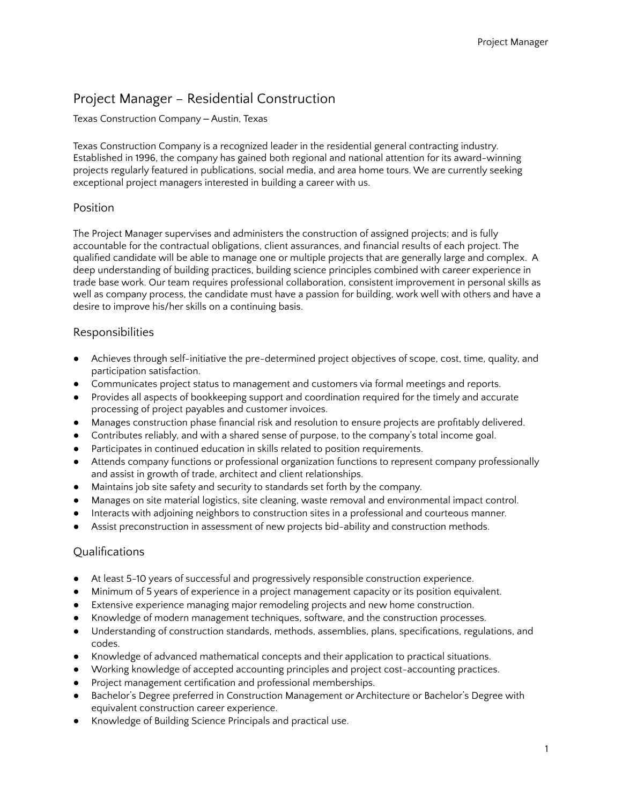# Project Manager – Residential Construction

#### Texas Construction Company - Austin, Texas

Texas Construction Company is a recognized leader in the residential general contracting industry. Established in 1996, the company has gained both regional and national attention for its award-winning projects regularly featured in publications, social media, and area home tours. We are currently seeking exceptional project managers interested in building a career with us.

#### Position

The Project Manager supervises and administers the construction of assigned projects; and is fully accountable for the contractual obligations, client assurances, and financial results of each project. The qualified candidate will be able to manage one or multiple projects that are generally large and complex. A deep understanding of building practices, building science principles combined with career experience in trade base work. Our team requires professional collaboration, consistent improvement in personal skills as well as company process, the candidate must have a passion for building, work well with others and have a desire to improve his/her skills on a continuing basis.

### Responsibilities

- Achieves through self-initiative the pre-determined project objectives of scope, cost, time, quality, and participation satisfaction.
- Communicates project status to management and customers via formal meetings and reports.
- Provides all aspects of bookkeeping support and coordination required for the timely and accurate processing of project payables and customer invoices.
- Manages construction phase financial risk and resolution to ensure projects are profitably delivered.
- Contributes reliably, and with a shared sense of purpose, to the company's total income goal.
- Participates in continued education in skills related to position requirements.
- Attends company functions or professional organization functions to represent company professionally and assist in growth of trade, architect and client relationships.
- Maintains job site safety and security to standards set forth by the company.
- Manages on site material logistics, site cleaning, waste removal and environmental impact control.
- Interacts with adjoining neighbors to construction sites in a professional and courteous manner.
- Assist preconstruction in assessment of new projects bid-ability and construction methods.

### Qualifications

- At least 5-10 years of successful and progressively responsible construction experience.
- Minimum of 5 years of experience in a project management capacity or its position equivalent.
- Extensive experience managing major remodeling projects and new home construction.
- Knowledge of modern management techniques, software, and the construction processes.
- Understanding of construction standards, methods, assemblies, plans, specifications, regulations, and codes.
- Knowledge of advanced mathematical concepts and their application to practical situations.
- Working knowledge of accepted accounting principles and project cost-accounting practices.
- Project management certification and professional memberships.
- Bachelor's Degree preferred in Construction Management or Architecture or Bachelor's Degree with equivalent construction career experience.
- Knowledge of Building Science Principals and practical use.